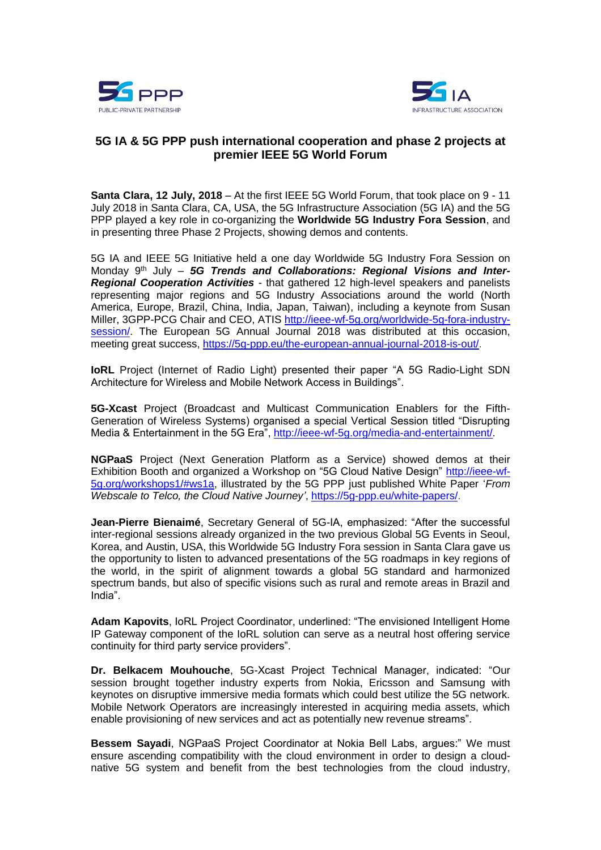



## **5G IA & 5G PPP push international cooperation and phase 2 projects at premier IEEE 5G World Forum**

**Santa Clara, 12 July, 2018** – At the first IEEE 5G World Forum, that took place on 9 - 11 July 2018 in Santa Clara, CA, USA, the 5G Infrastructure Association (5G IA) and the 5G PPP played a key role in co-organizing the **Worldwide 5G Industry Fora Session**, and in presenting three Phase 2 Projects, showing demos and contents.

5G IA and IEEE 5G Initiative held a one day Worldwide 5G Industry Fora Session on Monday 9<sup>th</sup> July – 5G Trends and Collaborations: Regional Visions and Inter-*Regional Cooperation Activities* - that gathered 12 high-level speakers and panelists representing major regions and 5G Industry Associations around the world (North America, Europe, Brazil, China, India, Japan, Taiwan), including a keynote from Susan Miller, 3GPP-PCG Chair and CEO, ATIS [http://ieee-wf-5g.org/worldwide-5g-fora-industry](http://ieee-wf-5g.org/worldwide-5g-fora-industry-session/)[session/.](http://ieee-wf-5g.org/worldwide-5g-fora-industry-session/) The European 5G Annual Journal 2018 was distributed at this occasion, meeting great success, [https://5g-ppp.eu/the-european-annual-journal-2018-is-out/.](https://5g-ppp.eu/the-european-annual-journal-2018-is-out/)

**IoRL** Project (Internet of Radio Light) presented their paper "A 5G Radio-Light SDN Architecture for Wireless and Mobile Network Access in Buildings".

**5G-Xcast** Project (Broadcast and Multicast Communication Enablers for the Fifth-Generation of Wireless Systems) organised a special Vertical Session titled "Disrupting Media & Entertainment in the 5G Era", [http://ieee-wf-5g.org/media-and-entertainment/.](http://ieee-wf-5g.org/media-and-entertainment/)

**NGPaaS** Project (Next Generation Platform as a Service) showed demos at their Exhibition Booth and organized a Workshop on "5G Cloud Native Design" [http://ieee-wf-](http://ieee-wf-5g.org/workshops1/#ws1a)[5g.org/workshops1/#ws1a,](http://ieee-wf-5g.org/workshops1/#ws1a) illustrated by the 5G PPP just published White Paper '*From Webscale to Telco, the Cloud Native Journey'*, [https://5g-ppp.eu/white-papers/.](https://5g-ppp.eu/white-papers/)

**Jean-Pierre Bienaimé**, Secretary General of 5G-IA, emphasized: "After the successful inter-regional sessions already organized in the two previous Global 5G Events in Seoul, Korea, and Austin, USA, this Worldwide 5G Industry Fora session in Santa Clara gave us the opportunity to listen to advanced presentations of the 5G roadmaps in key regions of the world, in the spirit of alignment towards a global 5G standard and harmonized spectrum bands, but also of specific visions such as rural and remote areas in Brazil and India".

**Adam Kapovits**, IoRL Project Coordinator, underlined: "The envisioned Intelligent Home IP Gateway component of the IoRL solution can serve as a neutral host offering service continuity for third party service providers".

**Dr. Belkacem Mouhouche**, 5G-Xcast Project Technical Manager, indicated: "Our session brought together industry experts from Nokia, Ericsson and Samsung with keynotes on disruptive immersive media formats which could best utilize the 5G network. Mobile Network Operators are increasingly interested in acquiring media assets, which enable provisioning of new services and act as potentially new revenue streams".

**Bessem Sayadi**, NGPaaS Project Coordinator at Nokia Bell Labs, argues:" We must ensure ascending compatibility with the cloud environment in order to design a cloudnative 5G system and benefit from the best technologies from the cloud industry,